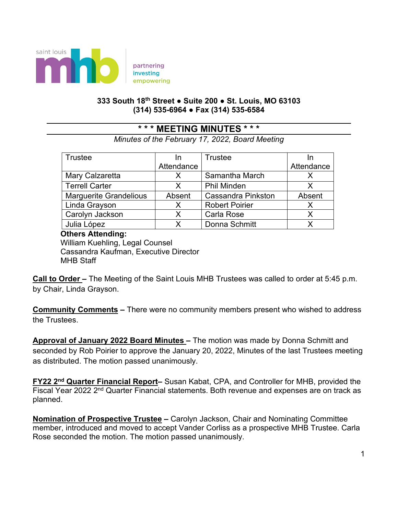

partnering empowering

## **333 South 18th Street ● Suite 200 ● St. Louis, MO 63103 (314) 535-6964 ● Fax (314) 535-6584**

## **\* \* \* MEETING MINUTES \* \* \***

*Minutes of the February 17, 2022, Board Meeting*

| <b>Trustee</b>                | In         | Trustee                   |            |
|-------------------------------|------------|---------------------------|------------|
|                               | Attendance |                           | Attendance |
| Mary Calzaretta               | x          | Samantha March            |            |
| <b>Terrell Carter</b>         | x          | <b>Phil Minden</b>        | x          |
| <b>Marguerite Grandelious</b> | Absent     | <b>Cassandra Pinkston</b> | Absent     |
| Linda Grayson                 | x          | <b>Robert Poirier</b>     | x          |
| Carolyn Jackson               | X.         | Carla Rose                | X          |
| Julia López                   |            | Donna Schmitt             |            |

## **Others Attending:**

 William Kuehling, Legal Counsel Cassandra Kaufman, Executive Director MHB Staff

**Call to Order –** The Meeting of the Saint Louis MHB Trustees was called to order at 5:45 p.m. by Chair, Linda Grayson.

**Community Comments –** There were no community members present who wished to address the Trustees.

**Approval of January 2022 Board Minutes –** The motion was made by Donna Schmitt and seconded by Rob Poirier to approve the January 20, 2022, Minutes of the last Trustees meeting as distributed. The motion passed unanimously.

**FY22 2nd Quarter Financial Report***–* Susan Kabat, CPA, and Controller for MHB, provided the Fiscal Year 2022 2<sup>nd</sup> Quarter Financial statements. Both revenue and expenses are on track as planned.

**Nomination of Prospective Trustee –** Carolyn Jackson, Chair and Nominating Committee member, introduced and moved to accept Vander Corliss as a prospective MHB Trustee. Carla Rose seconded the motion. The motion passed unanimously.